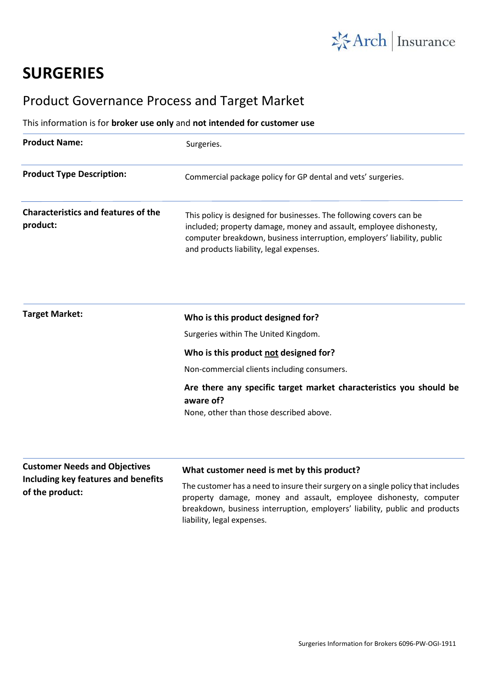

# **SURGERIES**

# Product Governance Process and Target Market

# This information is for **broker use only** and **not intended for customer use**

| <b>Product Name:</b>                                   | Surgeries.                                                                                                                                                                                                                                                      |
|--------------------------------------------------------|-----------------------------------------------------------------------------------------------------------------------------------------------------------------------------------------------------------------------------------------------------------------|
| <b>Product Type Description:</b>                       | Commercial package policy for GP dental and vets' surgeries.                                                                                                                                                                                                    |
| <b>Characteristics and features of the</b><br>product: | This policy is designed for businesses. The following covers can be<br>included; property damage, money and assault, employee dishonesty,<br>computer breakdown, business interruption, employers' liability, public<br>and products liability, legal expenses. |
|                                                        |                                                                                                                                                                                                                                                                 |

| <b>Target Market:</b> | Who is this product designed for?                                               |
|-----------------------|---------------------------------------------------------------------------------|
|                       | Surgeries within The United Kingdom.                                            |
|                       | Who is this product not designed for?                                           |
|                       | Non-commercial clients including consumers.                                     |
|                       | Are there any specific target market characteristics you should be<br>aware of? |
|                       | None, other than those described above.                                         |

#### **Customer Needs and Objectives Including key features and benefits of the product: What customer need is met by this product?** The customer has a need to insure their surgery on a single policy that includes property damage, money and assault, employee dishonesty, computer breakdown, business interruption, employers' liability, public and products liability, legal expenses.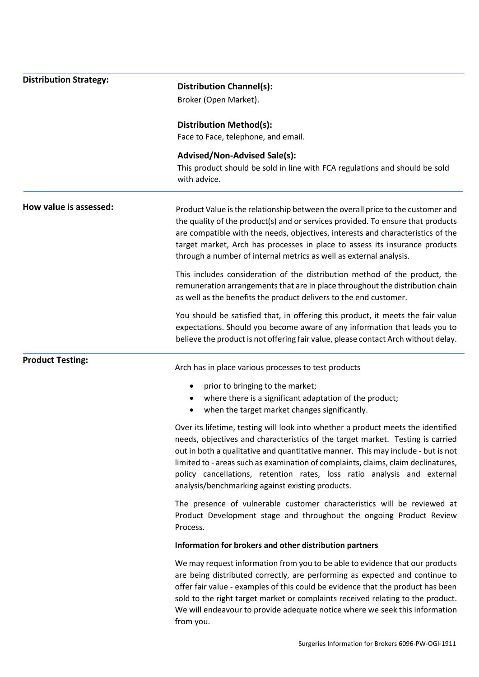# **Distribution Strategy:**

**Distribution Channel(s):**

Broker (Open Market).

**Distribution Method(s):**

Face to Face, telephone, and email.

### **Advised/Non-Advised Sale(s):**

This product should be sold in line with FCA regulations and should be sold with advice.

**How value is assessed:** Product Value is the relationship between the overall price to the customer and the quality of the product(s) and or services provided. To ensure that products are compatible with the needs, objectives, interests and characteristics of the target market, Arch has processes in place to assess its insurance products through a number of internal metrics as well as external analysis.

> This includes consideration of the distribution method of the product, the remuneration arrangements that are in place throughout the distribution chain as well as the benefits the product delivers to the end customer.

> You should be satisfied that, in offering this product, it meets the fair value expectations. Should you become aware of any information that leads you to believe the product is not offering fair value, please contact Arch without delay.

## **Product Testing:**

Arch has in place various processes to test products

- prior to bringing to the market;
- where there is a significant adaptation of the product;
- when the target market changes significantly.

Over its lifetime, testing will look into whether a product meets the identified needs, objectives and characteristics of the target market. Testing is carried out in both a qualitative and quantitative manner. This may include - but is not limited to - areas such as examination of complaints, claims, claim declinatures, policy cancellations, retention rates, loss ratio analysis and external analysis/benchmarking against existing products.

The presence of vulnerable customer characteristics will be reviewed at Product Development stage and throughout the ongoing Product Review Process.

#### **Information for brokers and other distribution partners**

We may request information from you to be able to evidence that our products are being distributed correctly, are performing as expected and continue to offer fair value - examples of this could be evidence that the product has been sold to the right target market or complaints received relating to the product. We will endeavour to provide adequate notice where we seek this information from you.